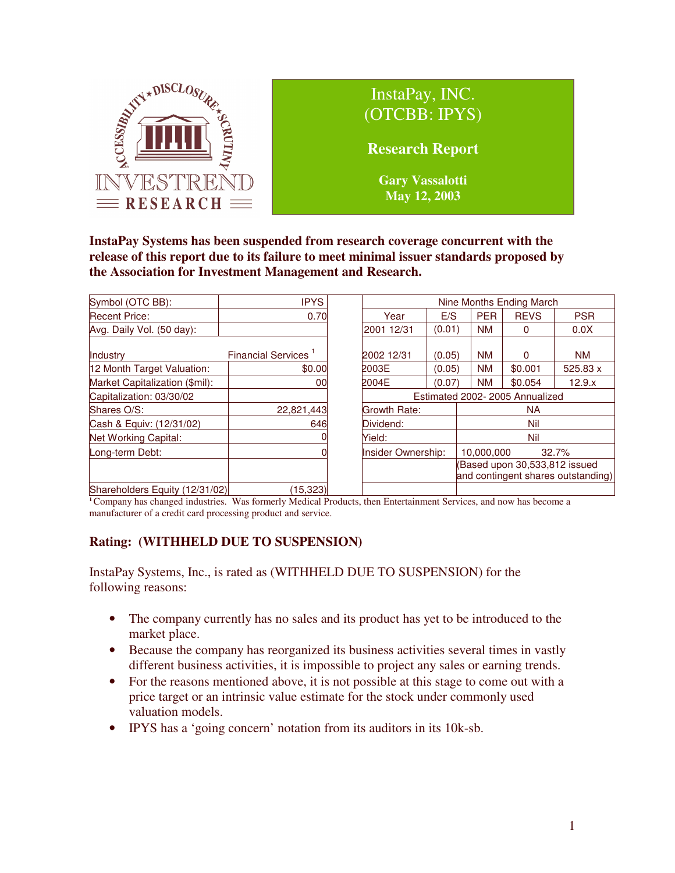

**InstaPay Systems has been suspended from research coverage concurrent with the release of this report due to its failure to meet minimal issuer standards proposed by the Association for Investment Management and Research.**

| Symbol (OTC BB):               | <b>IPYS</b>                     |  | Nine Months Ending March                  |        |                                                                    |             |            |
|--------------------------------|---------------------------------|--|-------------------------------------------|--------|--------------------------------------------------------------------|-------------|------------|
| <b>Recent Price:</b>           | 0.70                            |  | Year                                      | E/S    | <b>PER</b>                                                         | <b>REVS</b> | <b>PSR</b> |
| Avg. Daily Vol. (50 day):      |                                 |  | 2001 12/31                                | (0.01) | <b>NM</b>                                                          | 0           | 0.0X       |
| Industry                       | Financial Services <sup>1</sup> |  | 2002 12/31                                | (0.05) | <b>NM</b>                                                          | 0           | <b>NM</b>  |
| 12 Month Target Valuation:     | \$0.00                          |  | 2003E                                     | (0.05) | <b>NM</b>                                                          | \$0.001     | 525.83 x   |
| Market Capitalization (\$mil): | 00                              |  | 2004E                                     | (0.07) | <b>NM</b>                                                          | \$0.054     | 12.9.x     |
| Capitalization: 03/30/02       |                                 |  | Estimated 2002-2005 Annualized            |        |                                                                    |             |            |
| Shares O/S:                    | 22,821,443                      |  | <b>Growth Rate:</b>                       |        | <b>NA</b>                                                          |             |            |
| Cash & Equiv: (12/31/02)       | 646                             |  | Dividend:<br>Nil                          |        |                                                                    |             |            |
| Net Working Capital:           |                                 |  | Yield:<br>Nil                             |        |                                                                    |             |            |
| Long-term Debt:                |                                 |  | Insider Ownership:<br>10,000,000<br>32.7% |        |                                                                    |             |            |
|                                |                                 |  |                                           |        | Based upon 30,533,812 issued<br>and contingent shares outstanding) |             |            |
| Shareholders Equity (12/31/02) | (15, 323)                       |  |                                           |        |                                                                    |             |            |

**<sup>1</sup>**Company has changed industries. Was formerly Medical Products, then Entertainment Services, and now has become a manufacturer of a credit card processing product and service.

# **Rating: (WITHHELD DUE TO SUSPENSION)**

InstaPay Systems, Inc., is rated as (WITHHELD DUE TO SUSPENSION) for the following reasons:

- The company currently has no sales and its product has yet to be introduced to the market place.
- Because the company has reorganized its business activities several times in vastly different business activities, it is impossible to project any sales or earning trends.
- For the reasons mentioned above, it is not possible at this stage to come out with a price target or an intrinsic value estimate for the stock under commonly used valuation models.
- IPYS has a 'going concern' notation from its auditors in its 10k-sb.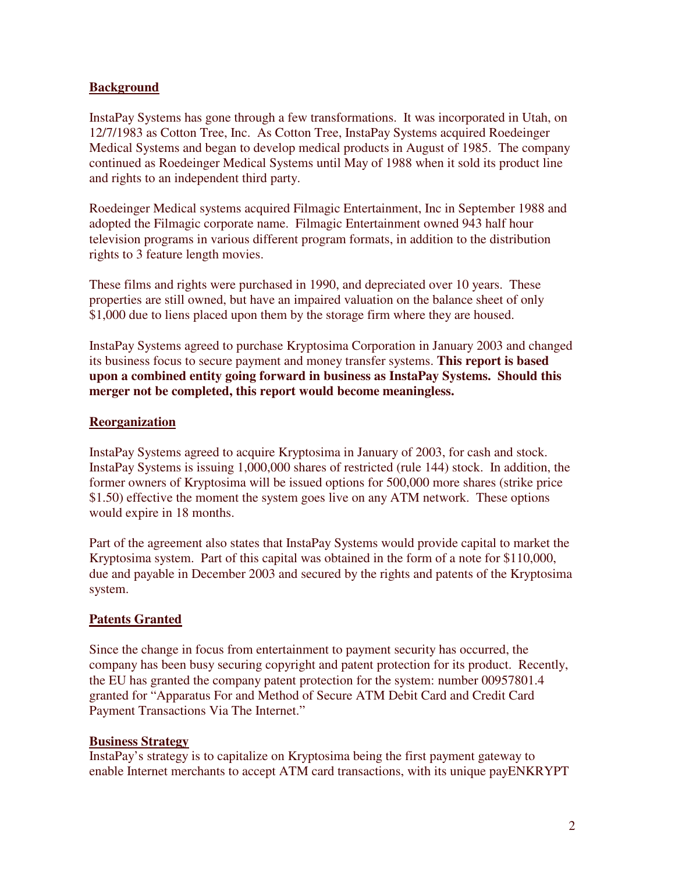# **Background**

InstaPay Systems has gone through a few transformations. It was incorporated in Utah, on 12/7/1983 as Cotton Tree, Inc. As Cotton Tree, InstaPay Systems acquired Roedeinger Medical Systems and began to develop medical products in August of 1985. The company continued as Roedeinger Medical Systems until May of 1988 when it sold its product line and rights to an independent third party.

Roedeinger Medical systems acquired Filmagic Entertainment, Inc in September 1988 and adopted the Filmagic corporate name. Filmagic Entertainment owned 943 half hour television programs in various different program formats, in addition to the distribution rights to 3 feature length movies.

These films and rights were purchased in 1990, and depreciated over 10 years. These properties are still owned, but have an impaired valuation on the balance sheet of only \$1,000 due to liens placed upon them by the storage firm where they are housed.

InstaPay Systems agreed to purchase Kryptosima Corporation in January 2003 and changed its business focus to secure payment and money transfer systems. **This report is based upon a combined entity going forward in business as InstaPay Systems. Should this merger not be completed, this report would become meaningless.**

### **Reorganization**

InstaPay Systems agreed to acquire Kryptosima in January of 2003, for cash and stock. InstaPay Systems is issuing 1,000,000 shares of restricted (rule 144) stock. In addition, the former owners of Kryptosima will be issued options for 500,000 more shares (strike price \$1.50) effective the moment the system goes live on any ATM network. These options would expire in 18 months.

Part of the agreement also states that InstaPay Systems would provide capital to market the Kryptosima system. Part of this capital was obtained in the form of a note for \$110,000, due and payable in December 2003 and secured by the rights and patents of the Kryptosima system.

# **Patents Granted**

Since the change in focus from entertainment to payment security has occurred, the company has been busy securing copyright and patent protection for its product. Recently, the EU has granted the company patent protection for the system: number 00957801.4 granted for "Apparatus For and Method of Secure ATM Debit Card and Credit Card Payment Transactions Via The Internet."

### **Business Strategy**

InstaPay's strategy is to capitalize on Kryptosima being the first payment gateway to enable Internet merchants to accept ATM card transactions, with its unique payENKRYPT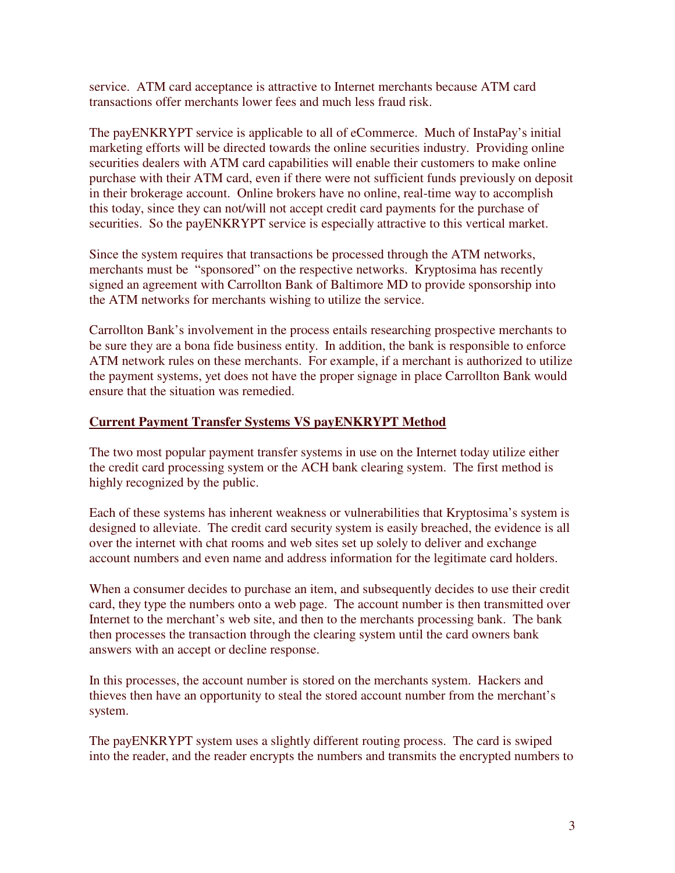service. ATM card acceptance is attractive to Internet merchants because ATM card transactions offer merchants lower fees and much less fraud risk.

The payENKRYPT service is applicable to all of eCommerce. Much of InstaPay's initial marketing efforts will be directed towards the online securities industry. Providing online securities dealers with ATM card capabilities will enable their customers to make online purchase with their ATM card, even if there were not sufficient funds previously on deposit in their brokerage account. Online brokers have no online, real-time way to accomplish this today, since they can not/will not accept credit card payments for the purchase of securities. So the payENKRYPT service is especially attractive to this vertical market.

Since the system requires that transactions be processed through the ATM networks, merchants must be "sponsored" on the respective networks. Kryptosima has recently signed an agreement with Carrollton Bank of Baltimore MD to provide sponsorship into the ATM networks for merchants wishing to utilize the service.

Carrollton Bank's involvement in the process entails researching prospective merchants to be sure they are a bona fide business entity. In addition, the bank is responsible to enforce ATM network rules on these merchants. For example, if a merchant is authorized to utilize the payment systems, yet does not have the proper signage in place Carrollton Bank would ensure that the situation was remedied.

# **Current Payment Transfer Systems VS payENKRYPT Method**

The two most popular payment transfer systems in use on the Internet today utilize either the credit card processing system or the ACH bank clearing system. The first method is highly recognized by the public.

Each of these systems has inherent weakness or vulnerabilities that Kryptosima's system is designed to alleviate. The credit card security system is easily breached, the evidence is all over the internet with chat rooms and web sites set up solely to deliver and exchange account numbers and even name and address information for the legitimate card holders.

When a consumer decides to purchase an item, and subsequently decides to use their credit card, they type the numbers onto a web page. The account number is then transmitted over Internet to the merchant's web site, and then to the merchants processing bank. The bank then processes the transaction through the clearing system until the card owners bank answers with an accept or decline response.

In this processes, the account number is stored on the merchants system. Hackers and thieves then have an opportunity to steal the stored account number from the merchant's system.

The payENKRYPT system uses a slightly different routing process. The card is swiped into the reader, and the reader encrypts the numbers and transmits the encrypted numbers to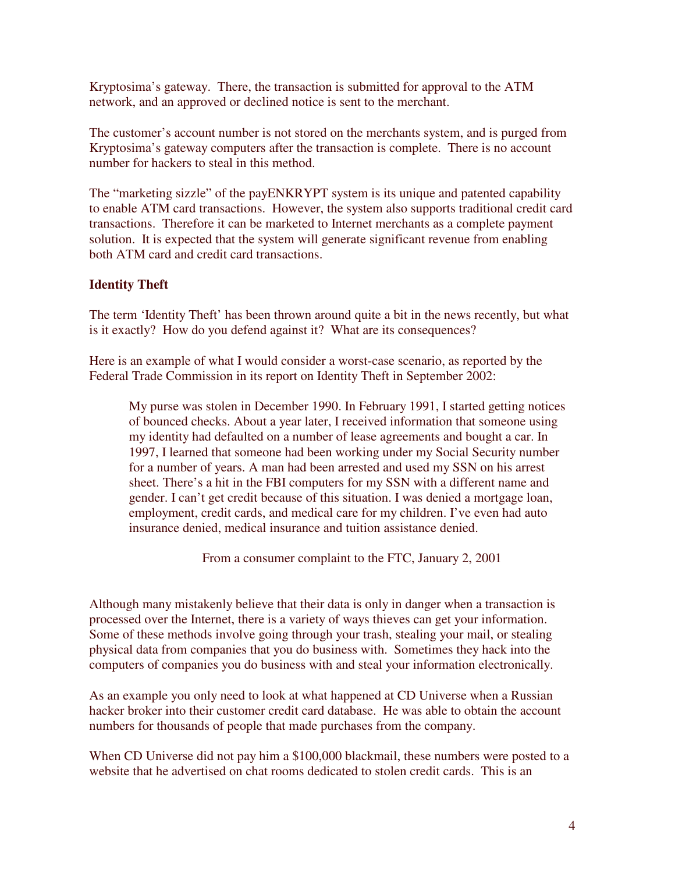Kryptosima's gateway. There, the transaction is submitted for approval to the ATM network, and an approved or declined notice is sent to the merchant.

The customer's account number is not stored on the merchants system, and is purged from Kryptosima's gateway computers after the transaction is complete. There is no account number for hackers to steal in this method.

The "marketing sizzle" of the payENKRYPT system is its unique and patented capability to enable ATM card transactions. However, the system also supports traditional credit card transactions. Therefore it can be marketed to Internet merchants as a complete payment solution. It is expected that the system will generate significant revenue from enabling both ATM card and credit card transactions.

# **Identity Theft**

The term 'Identity Theft' has been thrown around quite a bit in the news recently, but what is it exactly? How do you defend against it? What are its consequences?

Here is an example of what I would consider a worst-case scenario, as reported by the Federal Trade Commission in its report on Identity Theft in September 2002:

My purse was stolen in December 1990. In February 1991, I started getting notices of bounced checks. About a year later, I received information that someone using my identity had defaulted on a number of lease agreements and bought a car. In 1997, I learned that someone had been working under my Social Security number for a number of years. A man had been arrested and used my SSN on his arrest sheet. There's a hit in the FBI computers for my SSN with a different name and gender. I can't get credit because of this situation. I was denied a mortgage loan, employment, credit cards, and medical care for my children. I've even had auto insurance denied, medical insurance and tuition assistance denied.

From a consumer complaint to the FTC, January 2, 2001

Although many mistakenly believe that their data is only in danger when a transaction is processed over the Internet, there is a variety of ways thieves can get your information. Some of these methods involve going through your trash, stealing your mail, or stealing physical data from companies that you do business with. Sometimes they hack into the computers of companies you do business with and steal your information electronically.

As an example you only need to look at what happened at CD Universe when a Russian hacker broker into their customer credit card database. He was able to obtain the account numbers for thousands of people that made purchases from the company.

When CD Universe did not pay him a \$100,000 blackmail, these numbers were posted to a website that he advertised on chat rooms dedicated to stolen credit cards. This is an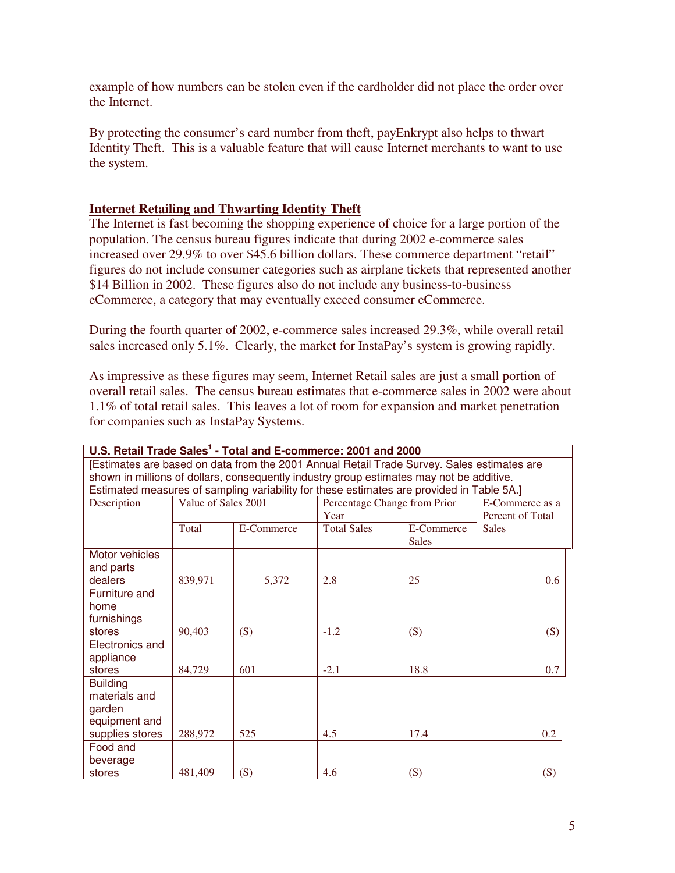example of how numbers can be stolen even if the cardholder did not place the order over the Internet.

By protecting the consumer's card number from theft, payEnkrypt also helps to thwart Identity Theft. This is a valuable feature that will cause Internet merchants to want to use the system.

# **Internet Retailing and Thwarting Identity Theft**

The Internet is fast becoming the shopping experience of choice for a large portion of the population. The census bureau figures indicate that during 2002 e-commerce sales increased over 29.9% to over \$45.6 billion dollars. These commerce department "retail" figures do not include consumer categories such as airplane tickets that represented another \$14 Billion in 2002. These figures also do not include any business-to-business eCommerce, a category that may eventually exceed consumer eCommerce.

During the fourth quarter of 2002, e-commerce sales increased 29.3%, while overall retail sales increased only 5.1%. Clearly, the market for InstaPay's system is growing rapidly.

As impressive as these figures may seem, Internet Retail sales are just a small portion of overall retail sales. The census bureau estimates that e-commerce sales in 2002 were about 1.1% of total retail sales. This leaves a lot of room for expansion and market penetration for companies such as InstaPay Systems.

| U.S. Retail Trade Sales <sup>1</sup> - Total and E-commerce: 2001 and 2000                 |                                                                                           |            |                                  |              |                  |  |  |
|--------------------------------------------------------------------------------------------|-------------------------------------------------------------------------------------------|------------|----------------------------------|--------------|------------------|--|--|
| [Estimates are based on data from the 2001 Annual Retail Trade Survey. Sales estimates are |                                                                                           |            |                                  |              |                  |  |  |
| shown in millions of dollars, consequently industry group estimates may not be additive.   |                                                                                           |            |                                  |              |                  |  |  |
|                                                                                            | Estimated measures of sampling variability for these estimates are provided in Table 5A.] |            |                                  |              |                  |  |  |
| Description                                                                                | Value of Sales 2001<br>Percentage Change from Prior                                       |            |                                  |              | E-Commerce as a  |  |  |
|                                                                                            |                                                                                           |            | Year                             |              | Percent of Total |  |  |
|                                                                                            | Total                                                                                     | E-Commerce | <b>Total Sales</b><br>E-Commerce |              | <b>Sales</b>     |  |  |
|                                                                                            |                                                                                           |            |                                  | <b>Sales</b> |                  |  |  |
| Motor vehicles                                                                             |                                                                                           |            |                                  |              |                  |  |  |
| and parts                                                                                  |                                                                                           |            |                                  |              |                  |  |  |
| dealers                                                                                    | 839,971                                                                                   | 5,372      | 2.8                              | 25           | 0.6              |  |  |
| Furniture and                                                                              |                                                                                           |            |                                  |              |                  |  |  |
| home                                                                                       |                                                                                           |            |                                  |              |                  |  |  |
| furnishings<br>stores                                                                      |                                                                                           |            |                                  |              |                  |  |  |
|                                                                                            | 90,403                                                                                    | (S)        | $-1.2$                           | (S)          | (S)              |  |  |
| Electronics and                                                                            |                                                                                           |            |                                  |              |                  |  |  |
| appliance<br>stores                                                                        | 84,729                                                                                    | 601        | $-2.1$                           | 18.8         | 0.7              |  |  |
| <b>Building</b>                                                                            |                                                                                           |            |                                  |              |                  |  |  |
| materials and                                                                              |                                                                                           |            |                                  |              |                  |  |  |
| garden                                                                                     |                                                                                           |            |                                  |              |                  |  |  |
| equipment and                                                                              |                                                                                           |            |                                  |              |                  |  |  |
| supplies stores                                                                            | 288,972                                                                                   | 525        | 4.5                              | 17.4         | 0.2              |  |  |
| Food and                                                                                   |                                                                                           |            |                                  |              |                  |  |  |
| beverage                                                                                   |                                                                                           |            |                                  |              |                  |  |  |
| stores                                                                                     | 481,409                                                                                   | (S)        | 4.6                              | (S)          | (S)              |  |  |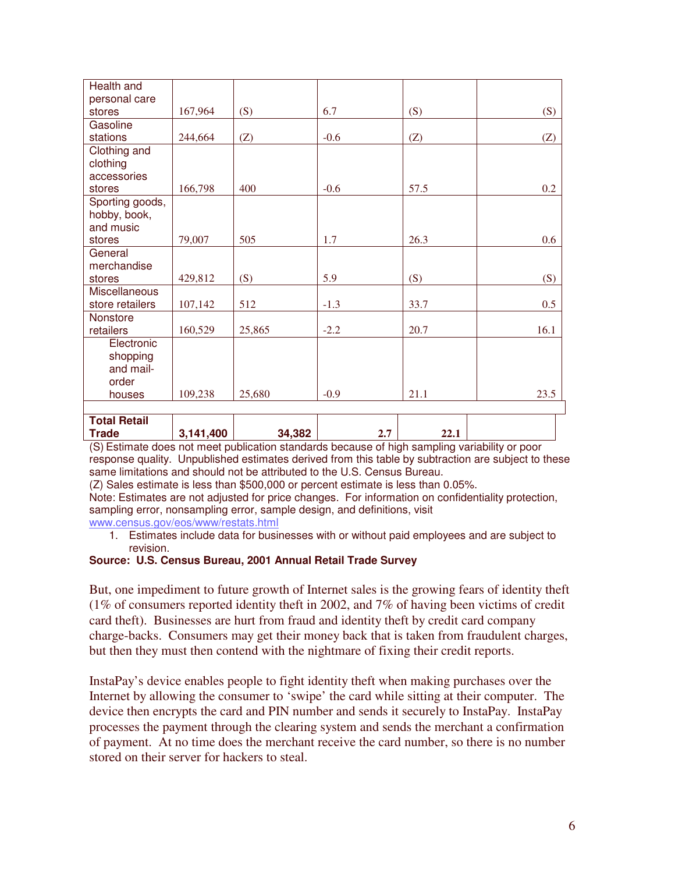| Health and           |           |        |        |      |      |
|----------------------|-----------|--------|--------|------|------|
| personal care        |           |        |        |      |      |
| stores               | 167,964   | (S)    | 6.7    | (S)  | (S)  |
| Gasoline             |           |        |        |      |      |
| stations             | 244,664   | (Z)    | $-0.6$ | (Z)  | (Z)  |
| Clothing and         |           |        |        |      |      |
| clothing             |           |        |        |      |      |
| accessories          |           |        |        |      |      |
| stores               | 166,798   | 400    | $-0.6$ | 57.5 | 0.2  |
| Sporting goods,      |           |        |        |      |      |
| hobby, book,         |           |        |        |      |      |
| and music            |           |        |        |      |      |
| stores               | 79,007    | 505    | 1.7    | 26.3 | 0.6  |
| General              |           |        |        |      |      |
| merchandise          |           |        |        |      |      |
| stores               | 429,812   | (S)    | 5.9    | (S)  | (S)  |
| <b>Miscellaneous</b> |           |        |        |      |      |
| store retailers      | 107,142   | 512    | $-1.3$ | 33.7 | 0.5  |
| Nonstore             |           |        |        |      |      |
| retailers            | 160,529   | 25,865 | $-2.2$ | 20.7 | 16.1 |
| Electronic           |           |        |        |      |      |
| shopping             |           |        |        |      |      |
| and mail-            |           |        |        |      |      |
| order                |           |        |        |      |      |
| houses               | 109,238   | 25,680 | $-0.9$ | 21.1 | 23.5 |
|                      |           |        |        |      |      |
| <b>Total Retail</b>  |           |        |        |      |      |
| <b>Trade</b>         | 3,141,400 | 34,382 | 2.7    | 22.1 |      |

(S) Estimate does not meet publication standards because of high sampling variability or poor response quality. Unpublished estimates derived from this table by subtraction are subject to these same limitations and should not be attributed to the U.S. Census Bureau.

(Z) Sales estimate is less than \$500,000 or percent estimate is less than 0.05%.

Note: Estimates are not adjusted for price changes. For information on confidentiality protection, sampling error, nonsampling error, sample design, and definitions, visit

www.census.gov/eos/www/restats.html

1. Estimates include data for businesses with or without paid employees and are subject to revision.

#### **Source: U.S. Census Bureau, 2001 Annual Retail Trade Survey**

But, one impediment to future growth of Internet sales is the growing fears of identity theft (1% of consumers reported identity theft in 2002, and 7% of having been victims of credit card theft). Businesses are hurt from fraud and identity theft by credit card company charge-backs. Consumers may get their money back that is taken from fraudulent charges, but then they must then contend with the nightmare of fixing their credit reports.

InstaPay's device enables people to fight identity theft when making purchases over the Internet by allowing the consumer to 'swipe' the card while sitting at their computer. The device then encrypts the card and PIN number and sends it securely to InstaPay. InstaPay processes the payment through the clearing system and sends the merchant a confirmation of payment. At no time does the merchant receive the card number, so there is no number stored on their server for hackers to steal.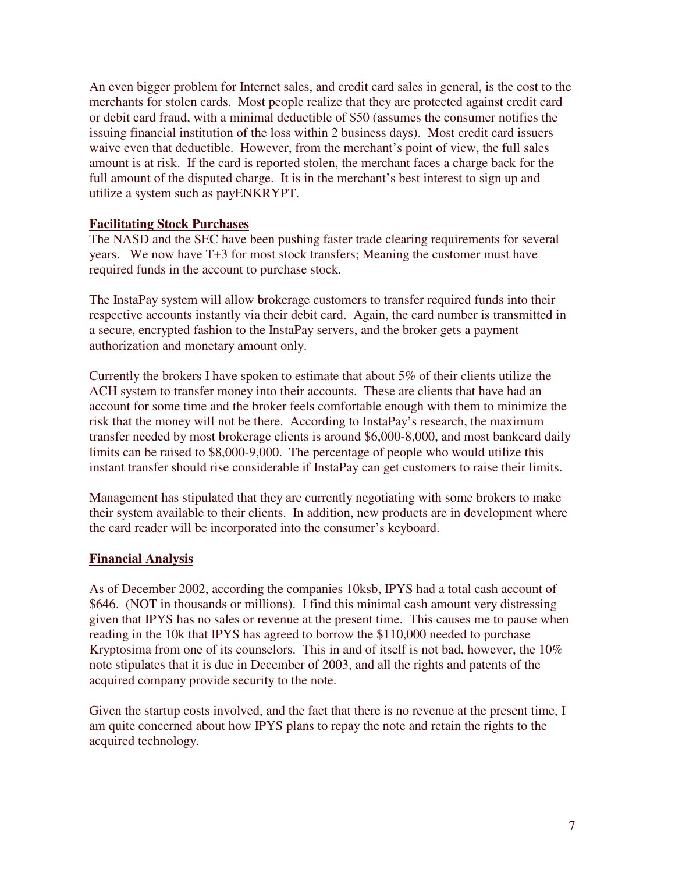An even bigger problem for Internet sales, and credit card sales in general, is the cost to the merchants for stolen cards. Most people realize that they are protected against credit card or debit card fraud, with a minimal deductible of \$50 (assumes the consumer notifies the issuing financial institution of the loss within 2 business days). Most credit card issuers waive even that deductible. However, from the merchant's point of view, the full sales amount is at risk. If the card is reported stolen, the merchant faces a charge back for the full amount of the disputed charge. It is in the merchant's best interest to sign up and utilize a system such as payENKRYPT.

### **Facilitating Stock Purchases**

The NASD and the SEC have been pushing faster trade clearing requirements for several years. We now have T+3 for most stock transfers; Meaning the customer must have required funds in the account to purchase stock.

The InstaPay system will allow brokerage customers to transfer required funds into their respective accounts instantly via their debit card. Again, the card number is transmitted in a secure, encrypted fashion to the InstaPay servers, and the broker gets a payment authorization and monetary amount only.

Currently the brokers I have spoken to estimate that about 5% of their clients utilize the ACH system to transfer money into their accounts. These are clients that have had an account for some time and the broker feels comfortable enough with them to minimize the risk that the money will not be there. According to InstaPay's research, the maximum transfer needed by most brokerage clients is around \$6,000-8,000, and most bankcard daily limits can be raised to \$8,000-9,000. The percentage of people who would utilize this instant transfer should rise considerable if InstaPay can get customers to raise their limits.

Management has stipulated that they are currently negotiating with some brokers to make their system available to their clients. In addition, new products are in development where the card reader will be incorporated into the consumer's keyboard.

### **Financial Analysis**

As of December 2002, according the companies 10ksb, IPYS had a total cash account of \$646. (NOT in thousands or millions). I find this minimal cash amount very distressing given that IPYS has no sales or revenue at the present time. This causes me to pause when reading in the 10k that IPYS has agreed to borrow the \$110,000 needed to purchase Kryptosima from one of its counselors. This in and of itself is not bad, however, the 10% note stipulates that it is due in December of 2003, and all the rights and patents of the acquired company provide security to the note.

Given the startup costs involved, and the fact that there is no revenue at the present time, I am quite concerned about how IPYS plans to repay the note and retain the rights to the acquired technology.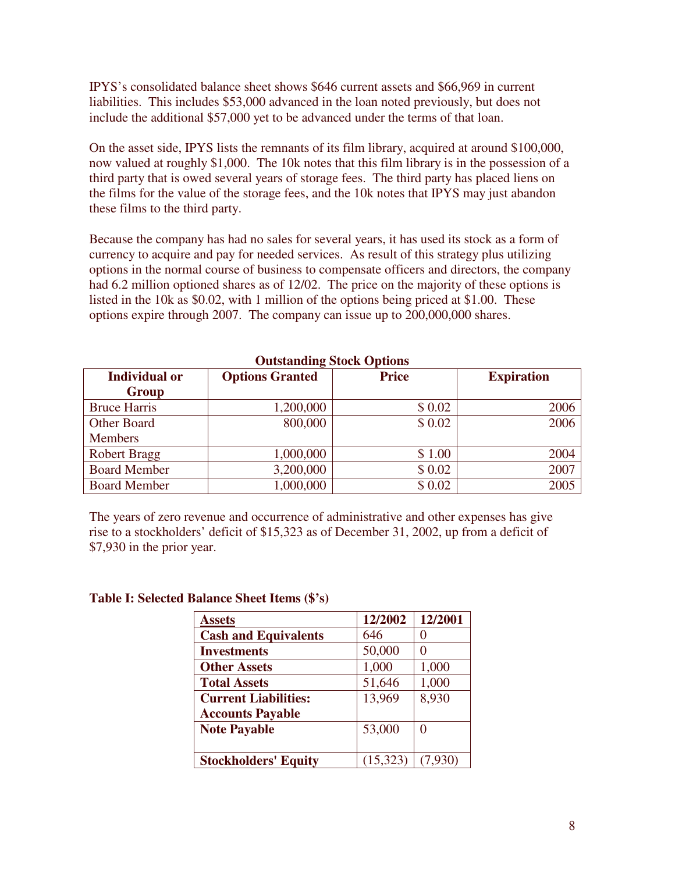IPYS's consolidated balance sheet shows \$646 current assets and \$66,969 in current liabilities. This includes \$53,000 advanced in the loan noted previously, but does not include the additional \$57,000 yet to be advanced under the terms of that loan.

On the asset side, IPYS lists the remnants of its film library, acquired at around \$100,000, now valued at roughly \$1,000. The 10k notes that this film library is in the possession of a third party that is owed several years of storage fees. The third party has placed liens on the films for the value of the storage fees, and the 10k notes that IPYS may just abandon these films to the third party.

Because the company has had no sales for several years, it has used its stock as a form of currency to acquire and pay for needed services. As result of this strategy plus utilizing options in the normal course of business to compensate officers and directors, the company had 6.2 million optioned shares as of 12/02. The price on the majority of these options is listed in the 10k as \$0.02, with 1 million of the options being priced at \$1.00. These options expire through 2007. The company can issue up to 200,000,000 shares.

| <b>Individual or</b> | <b>Options Granted</b> | <b>Price</b> | <b>Expiration</b> |  |  |  |
|----------------------|------------------------|--------------|-------------------|--|--|--|
| Group                |                        |              |                   |  |  |  |
| <b>Bruce Harris</b>  | 1,200,000              | \$0.02       | 2006              |  |  |  |
| Other Board          | 800,000                | \$0.02       | 2006              |  |  |  |
| <b>Members</b>       |                        |              |                   |  |  |  |
| <b>Robert Bragg</b>  | 1,000,000              | \$1.00       | 2004              |  |  |  |
| <b>Board Member</b>  | 3,200,000              | \$0.02       | 2007              |  |  |  |
| <b>Board Member</b>  | 1,000,000              | \$0.02       | 2005              |  |  |  |

# **Outstanding Stock Options**

The years of zero revenue and occurrence of administrative and other expenses has give rise to a stockholders' deficit of \$15,323 as of December 31, 2002, up from a deficit of \$7,930 in the prior year.

| <b>Assets</b>               | 12/2002  | 12/2001 |
|-----------------------------|----------|---------|
| <b>Cash and Equivalents</b> | 646      | 0       |
| <b>Investments</b>          | 50,000   |         |
| <b>Other Assets</b>         | 1,000    | 1,000   |
| <b>Total Assets</b>         | 51,646   | 1,000   |
| <b>Current Liabilities:</b> | 13,969   | 8,930   |
| <b>Accounts Payable</b>     |          |         |
| <b>Note Payable</b>         | 53,000   | 0       |
|                             |          |         |
| <b>Stockholders' Equity</b> | (15,323) | (7,930) |

### **Table I: Selected Balance Sheet Items (\$'s)**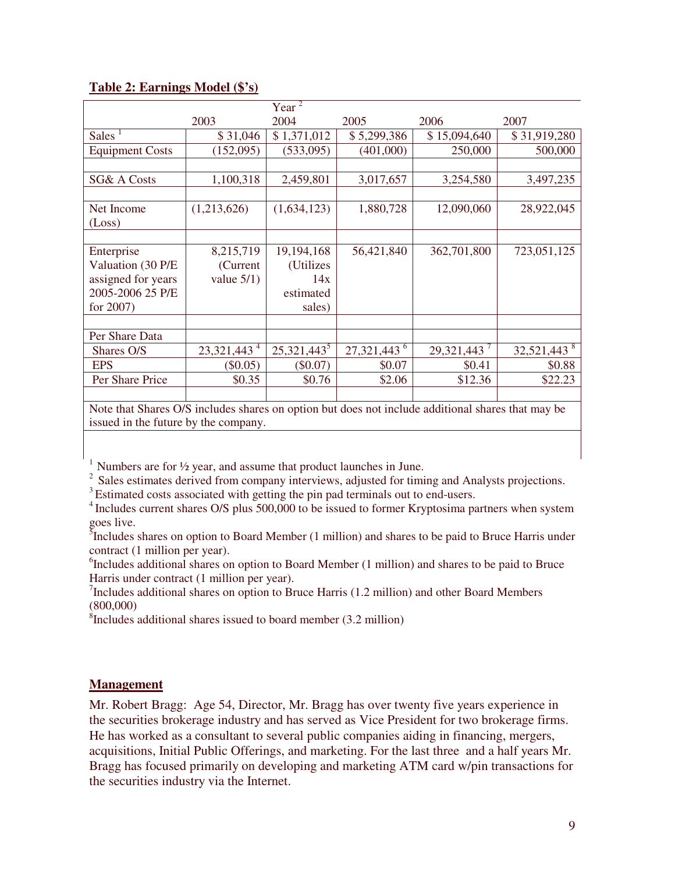# **Table 2: Earnings Model (\$'s)**

|                                                                                                  |                           | $Year^2$       |                           |              |                           |
|--------------------------------------------------------------------------------------------------|---------------------------|----------------|---------------------------|--------------|---------------------------|
|                                                                                                  | 2003                      | 2004           | 2005                      | 2006         | 2007                      |
| <b>Sales</b>                                                                                     | \$31,046                  | \$1,371,012    | \$5,299,386               | \$15,094,640 | \$31,919,280              |
| <b>Equipment Costs</b>                                                                           | (152,095)                 | (533,095)      | (401,000)                 | 250,000      | 500,000                   |
|                                                                                                  |                           |                |                           |              |                           |
| <b>SG&amp; A Costs</b>                                                                           | 1,100,318                 | 2,459,801      | 3,017,657                 | 3,254,580    | 3,497,235                 |
|                                                                                                  |                           |                |                           |              |                           |
| Net Income                                                                                       | (1,213,626)               | (1,634,123)    | 1,880,728                 | 12,090,060   | 28,922,045                |
| (Loss)                                                                                           |                           |                |                           |              |                           |
|                                                                                                  |                           |                |                           |              |                           |
| Enterprise                                                                                       | 8,215,719                 | 19,194,168     | 56,421,840                | 362,701,800  | 723,051,125               |
| Valuation (30 P/E                                                                                | (Current)                 | (Utilizes)     |                           |              |                           |
| assigned for years                                                                               | value $5/1$ )             | 14x            |                           |              |                           |
| 2005-2006 25 P/E                                                                                 |                           | estimated      |                           |              |                           |
| for $2007$ )                                                                                     |                           | sales)         |                           |              |                           |
|                                                                                                  |                           |                |                           |              |                           |
| Per Share Data                                                                                   |                           |                |                           |              |                           |
| Shares O/S                                                                                       | $23,321,443$ <sup>4</sup> | $25,321,443^5$ | $27,321,443$ <sup>6</sup> | 29,321,443   | $32,521,443$ <sup>8</sup> |
| <b>EPS</b>                                                                                       | $(\$0.05)$                | $(\$0.07)$     | \$0.07                    | \$0.41       | \$0.88                    |
| Per Share Price                                                                                  | \$0.35                    | \$0.76         | \$2.06                    | \$12.36      | \$22.23                   |
|                                                                                                  |                           |                |                           |              |                           |
| Note that Shares OS includes shares on ontion but does not include additional shares that may be |                           |                |                           |              |                           |

Note that Shares O/S includes shares on option but does not include additional shares that may be issued in the future by the company.

 $1$  Numbers are for  $\frac{1}{2}$  year, and assume that product launches in June.

<sup>2</sup> Sales estimates derived from company interviews, adjusted for timing and Analysts projections.

<sup>3</sup> Estimated costs associated with getting the pin pad terminals out to end-users.

<sup>4</sup> Includes current shares O/S plus 500,000 to be issued to former Kryptosima partners when system goes live.

<sup>5</sup>Includes shares on option to Board Member (1 million) and shares to be paid to Bruce Harris under contract (1 million per year).

<sup>6</sup>Includes additional shares on option to Board Member (1 million) and shares to be paid to Bruce Harris under contract (1 million per year).

 $^{7}$ Includes additional shares on option to Bruce Harris (1.2 million) and other Board Members (800,000)

8 Includes additional shares issued to board member (3.2 million)

### **Management**

Mr. Robert Bragg: Age 54, Director, Mr. Bragg has over twenty five years experience in the securities brokerage industry and has served as Vice President for two brokerage firms. He has worked as a consultant to several public companies aiding in financing, mergers, acquisitions, Initial Public Offerings, and marketing. For the last three and a half years Mr. Bragg has focused primarily on developing and marketing ATM card w/pin transactions for the securities industry via the Internet.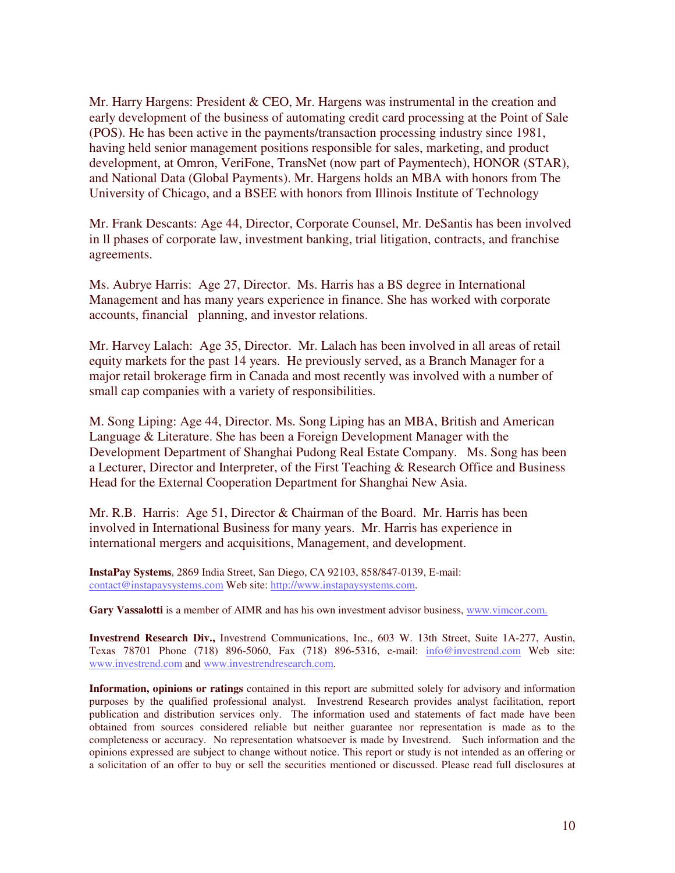Mr. Harry Hargens: President & CEO, Mr. Hargens was instrumental in the creation and early development of the business of automating credit card processing at the Point of Sale (POS). He has been active in the payments/transaction processing industry since 1981, having held senior management positions responsible for sales, marketing, and product development, at Omron, VeriFone, TransNet (now part of Paymentech), HONOR (STAR), and National Data (Global Payments). Mr. Hargens holds an MBA with honors from The University of Chicago, and a BSEE with honors from Illinois Institute of Technology

Mr. Frank Descants: Age 44, Director, Corporate Counsel, Mr. DeSantis has been involved in ll phases of corporate law, investment banking, trial litigation, contracts, and franchise agreements.

Ms. Aubrye Harris: Age 27, Director. Ms. Harris has a BS degree in International Management and has many years experience in finance. She has worked with corporate accounts, financial planning, and investor relations.

Mr. Harvey Lalach: Age 35, Director. Mr. Lalach has been involved in all areas of retail equity markets for the past 14 years. He previously served, as a Branch Manager for a major retail brokerage firm in Canada and most recently was involved with a number of small cap companies with a variety of responsibilities.

M. Song Liping: Age 44, Director. Ms. Song Liping has an MBA, British and American Language & Literature. She has been a Foreign Development Manager with the Development Department of Shanghai Pudong Real Estate Company. Ms. Song has been a Lecturer, Director and Interpreter, of the First Teaching & Research Office and Business Head for the External Cooperation Department for Shanghai New Asia.

Mr. R.B. Harris: Age 51, Director & Chairman of the Board. Mr. Harris has been involved in International Business for many years. Mr. Harris has experience in international mergers and acquisitions, Management, and development.

**InstaPay Systems**, 2869 India Street, San Diego, CA 92103, 858/847-0139, E-mail: contact@instapaysystems.com Web site: http://www.instapaysystems.com.

**Gary Vassalotti** is a member of AIMR and has his own investment advisor business, www.vimcor.com.

**Investrend Research Div.,** Investrend Communications, Inc., 603 W. 13th Street, Suite 1A-277, Austin, Texas 78701 Phone (718) 896-5060, Fax (718) 896-5316, e-mail: info@investrend.com Web site: www.investrend.com and www.investrendresearch.com.

**Information, opinions or ratings** contained in this report are submitted solely for advisory and information purposes by the qualified professional analyst. Investrend Research provides analyst facilitation, report publication and distribution services only. The information used and statements of fact made have been obtained from sources considered reliable but neither guarantee nor representation is made as to the completeness or accuracy. No representation whatsoever is made by Investrend. Such information and the opinions expressed are subject to change without notice. This report or study is not intended as an offering or a solicitation of an offer to buy or sell the securities mentioned or discussed. Please read full disclosures at